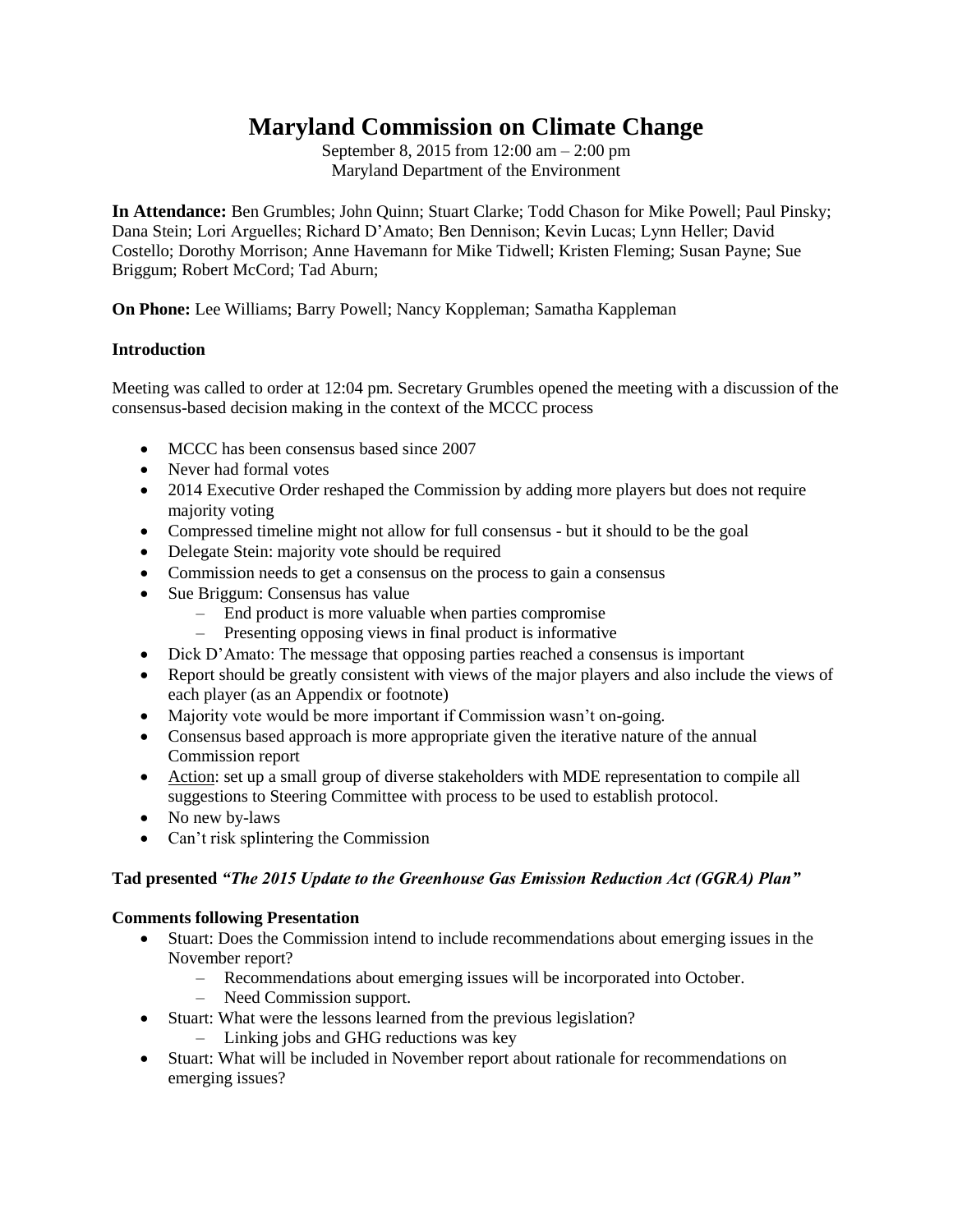# **Maryland Commission on Climate Change**

September 8, 2015 from 12:00 am – 2:00 pm Maryland Department of the Environment

**In Attendance:** Ben Grumbles; John Quinn; Stuart Clarke; Todd Chason for Mike Powell; Paul Pinsky; Dana Stein; Lori Arguelles; Richard D'Amato; Ben Dennison; Kevin Lucas; Lynn Heller; David Costello; Dorothy Morrison; Anne Havemann for Mike Tidwell; Kristen Fleming; Susan Payne; Sue Briggum; Robert McCord; Tad Aburn;

**On Phone:** Lee Williams; Barry Powell; Nancy Koppleman; Samatha Kappleman

## **Introduction**

Meeting was called to order at 12:04 pm. Secretary Grumbles opened the meeting with a discussion of the consensus-based decision making in the context of the MCCC process

- MCCC has been consensus based since 2007
- Never had formal votes
- 2014 Executive Order reshaped the Commission by adding more players but does not require majority voting
- Compressed timeline might not allow for full consensus but it should to be the goal
- Delegate Stein: majority vote should be required
- Commission needs to get a consensus on the process to gain a consensus
- Sue Briggum: Consensus has value
	- End product is more valuable when parties compromise
	- Presenting opposing views in final product is informative
- Dick D'Amato: The message that opposing parties reached a consensus is important
- Report should be greatly consistent with views of the major players and also include the views of each player (as an Appendix or footnote)
- Majority vote would be more important if Commission wasn't on-going.
- Consensus based approach is more appropriate given the iterative nature of the annual Commission report
- Action: set up a small group of diverse stakeholders with MDE representation to compile all suggestions to Steering Committee with process to be used to establish protocol.
- No new by-laws
- Can't risk splintering the Commission

#### **Tad presented** *"The 2015 Update to the Greenhouse Gas Emission Reduction Act (GGRA) Plan"*

#### **Comments following Presentation**

- Stuart: Does the Commission intend to include recommendations about emerging issues in the November report?
	- Recommendations about emerging issues will be incorporated into October.
	- Need Commission support.
- Stuart: What were the lessons learned from the previous legislation?
	- Linking jobs and GHG reductions was key
- Stuart: What will be included in November report about rationale for recommendations on emerging issues?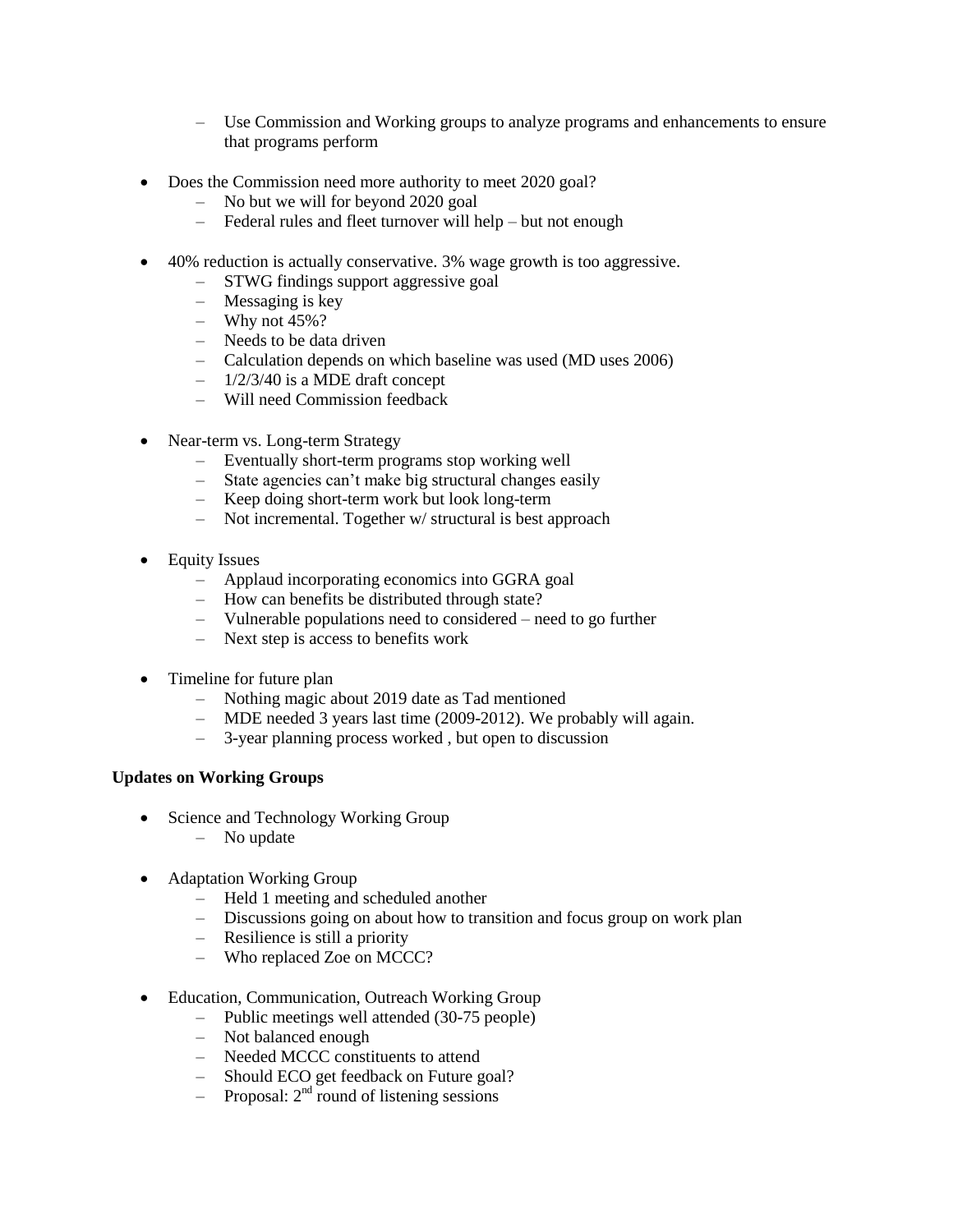- Use Commission and Working groups to analyze programs and enhancements to ensure that programs perform
- Does the Commission need more authority to meet 2020 goal?
	- No but we will for beyond 2020 goal
	- Federal rules and fleet turnover will help but not enough
- 40% reduction is actually conservative. 3% wage growth is too aggressive.
	- STWG findings support aggressive goal
	- Messaging is key
	- Why not 45%?
	- Needs to be data driven
	- Calculation depends on which baseline was used (MD uses 2006)
	- 1/2/3/40 is a MDE draft concept
	- Will need Commission feedback
- Near-term vs. Long-term Strategy
	- Eventually short-term programs stop working well
	- State agencies can't make big structural changes easily
	- Keep doing short-term work but look long-term
	- Not incremental. Together w/ structural is best approach
- Equity Issues
	- Applaud incorporating economics into GGRA goal
	- How can benefits be distributed through state?
	- Vulnerable populations need to considered need to go further
	- Next step is access to benefits work
- Timeline for future plan
	- Nothing magic about 2019 date as Tad mentioned
	- MDE needed 3 years last time (2009-2012). We probably will again.
	- 3-year planning process worked , but open to discussion

## **Updates on Working Groups**

- Science and Technology Working Group
	- No update
- Adaptation Working Group
	- Held 1 meeting and scheduled another
	- Discussions going on about how to transition and focus group on work plan
	- Resilience is still a priority
	- Who replaced Zoe on MCCC?
- Education, Communication, Outreach Working Group
	- Public meetings well attended (30-75 people)
	- Not balanced enough
	- Needed MCCC constituents to attend
	- Should ECO get feedback on Future goal?
	- $-$  Proposal:  $2<sup>nd</sup>$  round of listening sessions